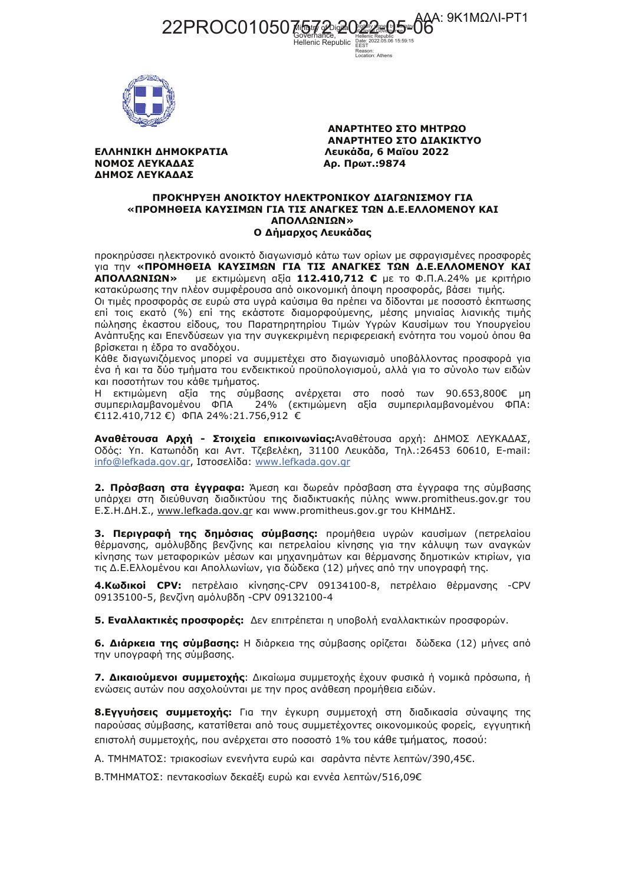VAA: 9K1MΩΛI-PT1 Hellenic Republic FEST Reason:<br>Location: Athens



ΕΛΛΗΝΙΚΗ ΔΗΜΟΚΡΑΤΙΑ ΝΟΜΟΣ ΛΕΥΚΑΔΑΣ ΔΗΜΟΣ ΛΕΥΚΑΔΑΣ

ΑΝΑΡΤΗΤΕΟ ΣΤΟ ΜΗΤΡΩΟ ΑΝΑΡΤΗΤΕΟ ΣΤΟ ΔΙΑΚΙΚΤΥΟ Λευκάδα, 6 Μαΐου 2022 Αρ. Πρωτ.: 9874

## ΠΡΟΚΉΡΥΞΗ ΑΝΟΙΚΤΟΥ ΗΛΕΚΤΡΟΝΙΚΟΥ ΔΙΑΓΩΝΙΣΜΟΥ ΓΙΑ «ΠΡΟΜΗΘΕΙΑ ΚΑΥΣΙΜΩΝ ΓΙΑ ΤΙΣ ΑΝΑΓΚΕΣ ΤΩΝ Δ.Ε.ΕΛΛΟΜΕΝΟΥ ΚΑΙ ΑΠΟΛΛΩΝΙΩΝ» Ο Δήμαρχος Λευκάδας

προκηρύσσει ηλεκτρονικό ανοικτό διαγωνισμό κάτω των ορίων με σφραγισμένες προσφορές VIG TIV «ΠΡΟΜΗΘΕΙΑ ΚΑΥΣΙΜΩΝ ΓΙΑ ΤΙΣ ΑΝΑΓΚΕΣ ΤΩΝ Δ.Ε.ΕΛΛΟΜΕΝΟΥ ΚΑΙ με εκτιμώμενη αξία 112.410,712 € με το Φ.Π.Α.24% με κριτήριο ΑΠΟΛΛΩΝΙΩΝ» κατακύρωσης την πλέον συμφέρουσα από οικονομική άποψη προσφοράς, βάσει τιμής.

Οι τιμές προσφοράς σε ευρώ στα υγρά καύσιμα θα πρέπει να δίδονται με ποσοστό έκπτωσης επί τοις εκατό (%) επί της εκάστοτε διαμορφούμενης, μέσης μηνιαίας λιανικής τιμής πώλησης έκαστου είδους, του Παρατηρητηρίου Τιμών Υγρών Καυσίμων του Υπουργείου Ανάπτυξης και Επενδύσεων για την συγκεκριμένη περιφερειακή ενότητα του νομού όπου θα βρίσκεται η έδρα το αναδόχου.

Κάθε διαγωνιζόμενος μπορεί να συμμετέχει στο διαγωνισμό υποβάλλοντας προσφορά για ένα ή και τα δύο τμήματα του ενδεικτικού προϋπολογισμού, αλλά για το σύνολο των ειδών και ποσοτήτων του κάθε τμήματος.

Η εκτιμώμενη αξία της σύμβασης ανέρχεται στο ποσό των 90.653,800€ μη συμπεριλαμβανομένου ΦΠΑ 24% (εκτιμώμενη αξία συμπεριλαμβανομένου ΦΠΑ: €112.410,712 €) ФПА 24%:21.756,912 €

Αναθέτουσα Αρχή - Στοιχεία επικοινωνίας: Αναθέτουσα αρχή: ΔΗΜΟΣ ΛΕΥΚΑΔΑΣ, Οδός: Υπ. Κατωπόδη και Αντ. Τζεβελέκη, 31100 Λευκάδα, Τηλ.:26453 60610, E-mail: info@lefkada.gov.gr, Ιστοσελίδα: www.lefkada.gov.gr

2. Πρόσβαση στα έγγραφα: Άμεση και δωρεάν πρόσβαση στα έγγραφα της σύμβασης υπάρχει στη διεύθυνση διαδικτύου της διαδικτυακής πύλης www.promitheus.gov.gr του Ε.Σ.Η.ΔΗ.Σ., www.lefkada.gov.gr και www.promitheus.gov.gr του ΚΗΜΔΗΣ.

3. Περιγραφή της δημόσιας σύμβασης: προμήθεια υγρών καυσίμων (πετρελαίου θέρμανσης, αμόλυβδης βενζίνης και πετρελαίου κίνησης για την κάλυψη των αναγκών κίνησης των μεταφορικών μέσων και μηχανημάτων και θέρμανσης δημοτικών κτιρίων, για τις Δ.Ε.Ελλομένου και Απολλωνίων, για δώδεκα (12) μήνες από την υπογραφή της.

4. Κωδικοί CPV: πετρέλαιο κίνησης-CPV 09134100-8, πετρέλαιο θέρμανσης -CPV 09135100-5, βενζίνη αμόλυβδη -CPV 09132100-4

5. Εναλλακτικές προσφορές: Δεν επιτρέπεται η υποβολή εναλλακτικών προσφορών.

6. Διάρκεια της σύμβασης: Η διάρκεια της σύμβασης ορίζεται δώδεκα (12) μήνες από την υπογραφή της σύμβασης.

7. Δικαιούμενοι συμμετοχής: Δικαίωμα συμμετοχής έχουν φυσικά ή νομικά πρόσωπα, ή ενώσεις αυτών που ασχολούνται με την προς ανάθεση προμήθεια ειδών.

**8.Εγγυήσεις συμμετοχής:** Για την έγκυρη συμμετοχή στη διαδικασία σύναψης της παρούσας σύμβασης, κατατίθεται από τους συμμετέχοντες οικονομικούς φορείς, εγγυητική επιστολή συμμετοχής, που ανέρχεται στο ποσοστό 1% του κάθε τμήματος, ποσού:

Α. ΤΜΗΜΑΤΟΣ: τριακοσίων ενενήντα ευρώ και σαράντα πέντε λεπτών/390,45€.

Β.ΤΜΗΜΑΤΟΣ: πεντακοσίων δεκαέξι ευρώ και εννέα λεπτών/516,09€